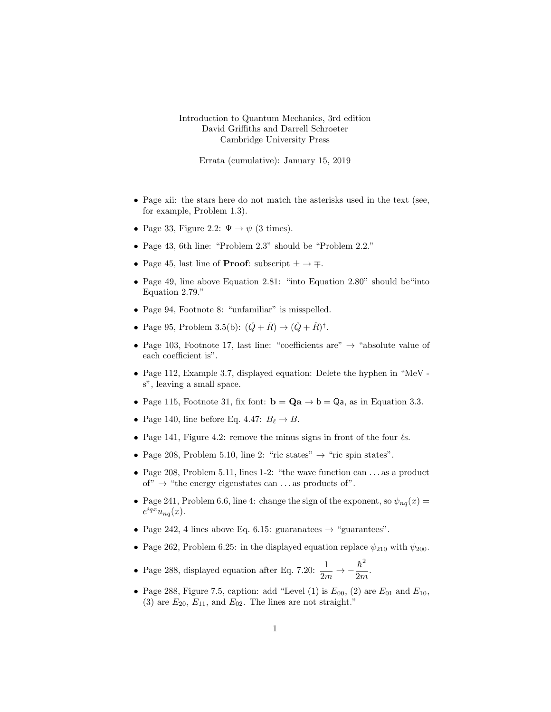## Introduction to Quantum Mechanics, 3rd edition David Griffiths and Darrell Schroeter Cambridge University Press

Errata (cumulative): January 15, 2019

- Page xii: the stars here do not match the asterisks used in the text (see, for example, Problem 1.3).
- Page 33, Figure 2.2:  $\Psi \to \psi$  (3 times).
- Page 43, 6th line: "Problem 2.3" should be "Problem 2.2."
- Page 45, last line of **Proof**: subscript  $\pm \rightarrow \mp$ .
- Page 49, line above Equation 2.81: "into Equation 2.80" should be "into Equation 2.79."
- Page 94, Footnote 8: "unfamiliar" is misspelled.
- Page 95, Problem 3.5(b):  $(\hat{Q} + \hat{R}) \to (\hat{Q} + \hat{R})^{\dagger}$ .
- Page 103, Footnote 17, last line: "coefficients are"  $\rightarrow$  "absolute value of each coefficient is".
- Page 112, Example 3.7, displayed equation: Delete the hyphen in "MeV s", leaving a small space.
- Page 115, Footnote 31, fix font:  $\mathbf{b} = \mathbf{Q}\mathbf{a} \rightarrow \mathbf{b} = \mathbf{Q}\mathbf{a}$ , as in Equation 3.3.
- Page 140, line before Eq. 4.47:  $B_\ell \to B$ .
- Page 141, Figure 4.2: remove the minus signs in front of the four  $\ell$ s.
- Page 208, Problem 5.10, line 2: "ric states"  $\rightarrow$  "ric spin states".
- Page 208, Problem 5.11, lines 1-2: "the wave function can ... as a product of"  $\rightarrow$  "the energy eigenstates can ... as products of".
- Page 241, Problem 6.6, line 4: change the sign of the exponent, so  $\psi_{nq}(x) =$  $e^{iqx}u_{nq}(x).$
- Page 242, 4 lines above Eq. 6.15: guaranatees  $\rightarrow$  "guarantees".
- Page 262, Problem 6.25: in the displayed equation replace  $\psi_{210}$  with  $\psi_{200}$ .
- Page 288, displayed equation after Eq. 7.20:  $\frac{1}{2m} \rightarrow -\frac{\hbar^2}{2m}$  $\frac{n}{2m}$ .
- Page 288, Figure 7.5, caption: add "Level (1) is  $E_{00}$ , (2) are  $E_{01}$  and  $E_{10}$ , (3) are  $E_{20}$ ,  $E_{11}$ , and  $E_{02}$ . The lines are not straight."